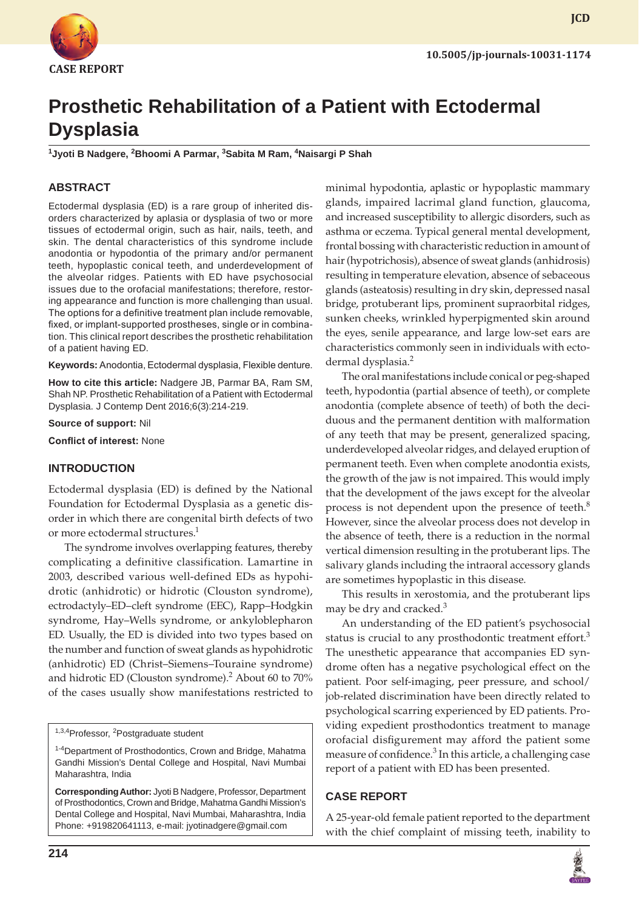

**JCD**

# **Prosthetic Rehabilitation of a Patient with Ectodermal Dysplasia**

**1 Jyoti B Nadgere, 2 Bhoomi A Parmar, 3 Sabita M Ram, 4 Naisargi P Shah**

## **ABSTRACT**

Ectodermal dysplasia (ED) is a rare group of inherited disorders characterized by aplasia or dysplasia of two or more tissues of ectodermal origin, such as hair, nails, teeth, and skin. The dental characteristics of this syndrome include anodontia or hypodontia of the primary and/or permanent teeth, hypoplastic conical teeth, and underdevelopment of the alveolar ridges. Patients with ED have psychosocial issues due to the orofacial manifestations; therefore, restoring appearance and function is more challenging than usual. The options for a definitive treatment plan include removable, fixed, or implant-supported prostheses, single or in combination. This clinical report describes the prosthetic rehabilitation of a patient having ED.

**Keywords:** Anodontia, Ectodermal dysplasia, Flexible denture.

**How to cite this article:** Nadgere JB, Parmar BA, Ram SM, Shah NP. Prosthetic Rehabilitation of a Patient with Ectodermal Dysplasia. J Contemp Dent 2016;6(3):214-219.

**Source of support:** Nil

**Conflict of interest:** None

#### **INTRODUCTION**

Ectodermal dysplasia (ED) is defined by the National Foundation for Ectodermal Dysplasia as a genetic disorder in which there are congenital birth defects of two or more ectodermal structures.<sup>1</sup>

The syndrome involves overlapping features, thereby complicating a definitive classification. Lamartine in 2003, described various well-defined EDs as hypohidrotic (anhidrotic) or hidrotic (Clouston syndrome), ectrodactyly–ED–cleft syndrome (EEC), Rapp–Hodgkin syndrome, Hay–Wells syndrome, or ankyloblepharon ED. Usually, the ED is divided into two types based on the number and function of sweat glands as hypohidrotic (anhidrotic) ED (Christ–Siemens–Touraine syndrome) and hidrotic ED (Clouston syndrome).<sup>2</sup> About 60 to 70% of the cases usually show manifestations restricted to

<sup>1,3,4</sup>Professor, <sup>2</sup>Postgraduate student

minimal hypodontia, aplastic or hypoplastic mammary glands, impaired lacrimal gland function, glaucoma, and increased susceptibility to allergic disorders, such as asthma or eczema. Typical general mental development, frontal bossing with characteristic reduction in amount of hair (hypotrichosis), absence of sweat glands (anhidrosis) resulting in temperature elevation, absence of sebaceous glands (asteatosis) resulting in dry skin, depressed nasal bridge, protuberant lips, prominent supraorbital ridges, sunken cheeks, wrinkled hyperpigmented skin around the eyes, senile appearance, and large low-set ears are characteristics commonly seen in individuals with ectodermal dysplasia.<sup>2</sup>

The oral manifestations include conical or peg-shaped teeth, hypodontia (partial absence of teeth), or complete anodontia (complete absence of teeth) of both the deciduous and the permanent dentition with malformation of any teeth that may be present, generalized spacing, underdeveloped alveolar ridges, and delayed eruption of permanent teeth. Even when complete anodontia exists, the growth of the jaw is not impaired. This would imply that the development of the jaws except for the alveolar process is not dependent upon the presence of teeth.<sup>8</sup> However, since the alveolar process does not develop in the absence of teeth, there is a reduction in the normal vertical dimension resulting in the protuberant lips. The salivary glands including the intraoral accessory glands are sometimes hypoplastic in this disease.

This results in xerostomia, and the protuberant lips may be dry and cracked. $3$ 

An understanding of the ED patient's psychosocial status is crucial to any prosthodontic treatment effort.<sup>3</sup> The unesthetic appearance that accompanies ED syndrome often has a negative psychological effect on the patient. Poor self-imaging, peer pressure, and school/ job-related discrimination have been directly related to psychological scarring experienced by ED patients. Providing expedient prosthodontics treatment to manage orofacial disfigurement may afford the patient some measure of confidence.<sup>3</sup> In this article, a challenging case report of a patient with ED has been presented.

## **CASE REPORT**

A 25-year-old female patient reported to the department with the chief complaint of missing teeth, inability to



<sup>&</sup>lt;sup>1-4</sup>Department of Prosthodontics, Crown and Bridge, Mahatma Gandhi Mission's Dental College and Hospital, Navi Mumbai Maharashtra, India

**Corresponding Author:** Jyoti B Nadgere, Professor, Department of Prosthodontics, Crown and Bridge, Mahatma Gandhi Mission's Dental College and Hospital, Navi Mumbai, Maharashtra, India Phone: +919820641113, e-mail: jyotinadgere@gmail.com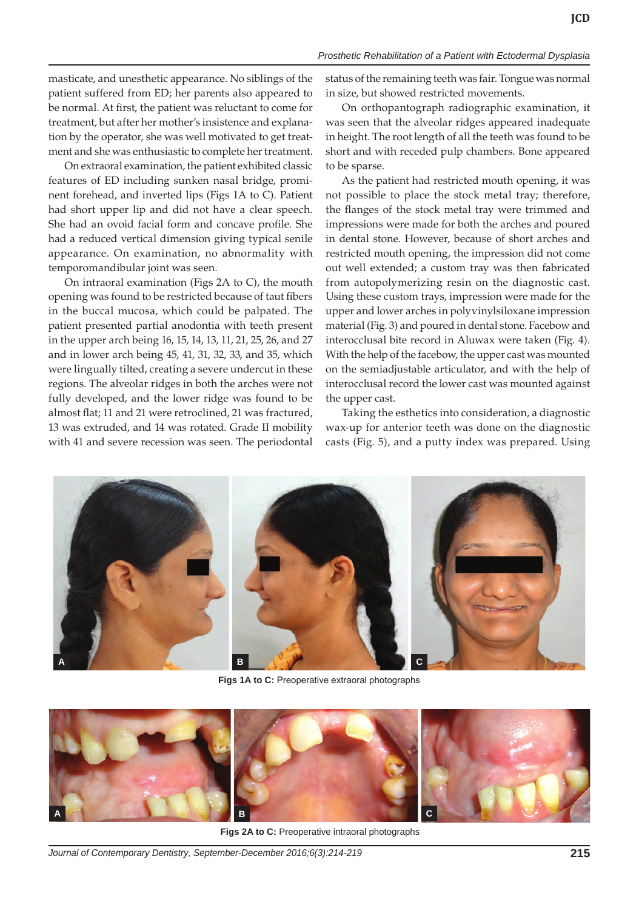masticate, and unesthetic appearance. No siblings of the patient suffered from ED; her parents also appeared to be normal. At first, the patient was reluctant to come for treatment, but after her mother's insistence and explanation by the operator, she was well motivated to get treatment and she was enthusiastic to complete her treatment.

On extraoral examination, the patient exhibited classic features of ED including sunken nasal bridge, prominent forehead, and inverted lips (Figs 1A to C). Patient had short upper lip and did not have a clear speech. She had an ovoid facial form and concave profile. She had a reduced vertical dimension giving typical senile appearance. On examination, no abnormality with temporomandibular joint was seen.

On intraoral examination (Figs 2A to C), the mouth opening was found to be restricted because of taut fibers in the buccal mucosa, which could be palpated. The patient presented partial anodontia with teeth present in the upper arch being 16, 15, 14, 13, 11, 21, 25, 26, and 27 and in lower arch being 45, 41, 31, 32, 33, and 35, which were lingually tilted, creating a severe undercut in these regions. The alveolar ridges in both the arches were not fully developed, and the lower ridge was found to be almost flat; 11 and 21 were retroclined, 21 was fractured, 13 was extruded, and 14 was rotated. Grade II mobility with 41 and severe recession was seen. The periodontal status of the remaining teeth was fair. Tongue was normal in size, but showed restricted movements.

On orthopantograph radiographic examination, it was seen that the alveolar ridges appeared inadequate in height. The root length of all the teeth was found to be short and with receded pulp chambers. Bone appeared to be sparse.

As the patient had restricted mouth opening, it was not possible to place the stock metal tray; therefore, the flanges of the stock metal tray were trimmed and impressions were made for both the arches and poured in dental stone. However, because of short arches and restricted mouth opening, the impression did not come out well extended; a custom tray was then fabricated from autopolymerizing resin on the diagnostic cast. Using these custom trays, impression were made for the upper and lower arches in polyvinylsiloxane impression material (Fig. 3) and poured in dental stone. Facebow and interocclusal bite record in Aluwax were taken (Fig. 4). With the help of the facebow, the upper cast was mounted on the semiadjustable articulator, and with the help of interocclusal record the lower cast was mounted against the upper cast.

Taking the esthetics into consideration, a diagnostic wax-up for anterior teeth was done on the diagnostic casts (Fig. 5), and a putty index was prepared. Using



**Figs 1A to C:** Preoperative extraoral photographs



**Figs 2A to C:** Preoperative intraoral photographs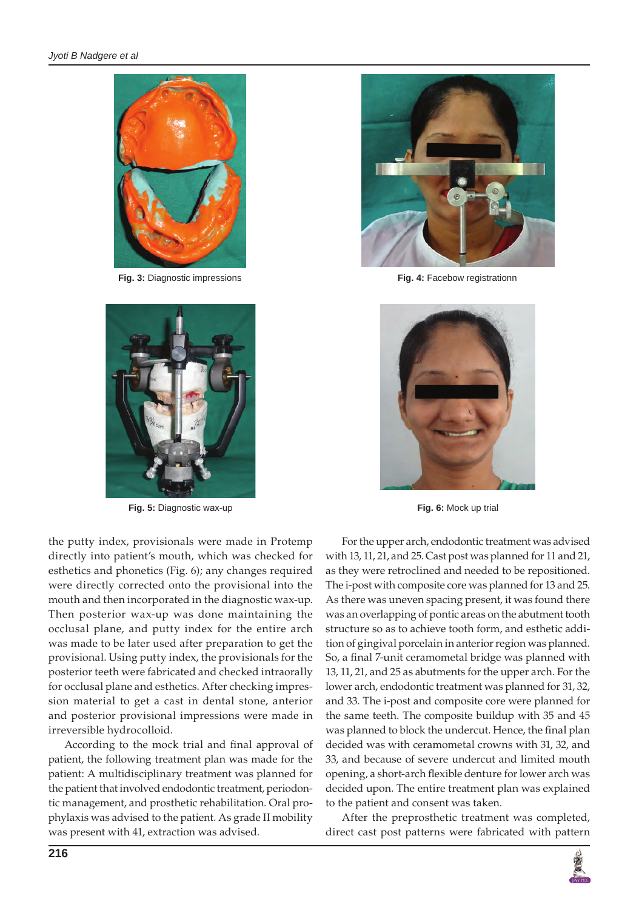

**Fig. 3:** Diagnostic impressions **Fig. 4:** Facebow registrationn



**Fig. 5:** Diagnostic wax-up **Fig. 6:** Mock up trial

the putty index, provisionals were made in Protemp directly into patient's mouth, which was checked for esthetics and phonetics (Fig. 6); any changes required were directly corrected onto the provisional into the mouth and then incorporated in the diagnostic wax-up. Then posterior wax-up was done maintaining the occlusal plane, and putty index for the entire arch was made to be later used after preparation to get the provisional. Using putty index, the provisionals for the posterior teeth were fabricated and checked intraorally for occlusal plane and esthetics. After checking impression material to get a cast in dental stone, anterior and posterior provisional impressions were made in irreversible hydrocolloid.

According to the mock trial and final approval of patient, the following treatment plan was made for the patient: A multidisciplinary treatment was planned for the patient that involved endodontic treatment, periodontic management, and prosthetic rehabilitation. Oral prophylaxis was advised to the patient. As grade II mobility was present with 41, extraction was advised.





For the upper arch, endodontic treatment was advised with 13, 11, 21, and 25. Cast post was planned for 11 and 21, as they were retroclined and needed to be repositioned. The i-post with composite core was planned for 13 and 25. As there was uneven spacing present, it was found there was an overlapping of pontic areas on the abutment tooth structure so as to achieve tooth form, and esthetic addition of gingival porcelain in anterior region was planned. So, a final 7-unit ceramometal bridge was planned with 13, 11, 21, and 25 as abutments for the upper arch. For the lower arch, endodontic treatment was planned for 31, 32, and 33. The i-post and composite core were planned for the same teeth. The composite buildup with 35 and 45 was planned to block the undercut. Hence, the final plan decided was with ceramometal crowns with 31, 32, and 33, and because of severe undercut and limited mouth opening, a short-arch flexible denture for lower arch was decided upon. The entire treatment plan was explained to the patient and consent was taken.

After the preprosthetic treatment was completed, direct cast post patterns were fabricated with pattern

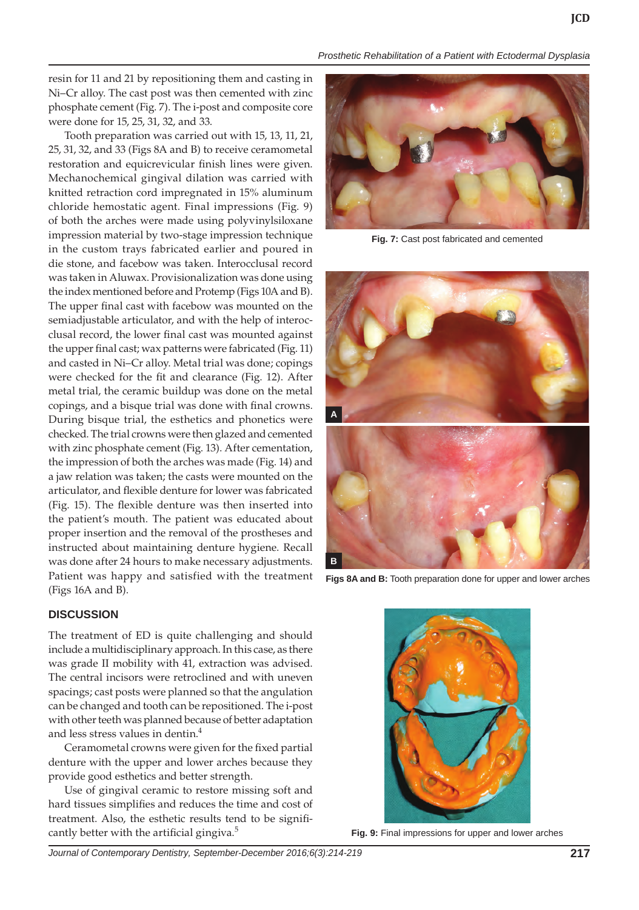*Prosthetic Rehabilitation of a Patient with Ectodermal Dysplasia*

resin for 11 and 21 by repositioning them and casting in Ni–Cr alloy. The cast post was then cemented with zinc phosphate cement (Fig. 7). The i-post and composite core were done for 15, 25, 31, 32, and 33.

Tooth preparation was carried out with 15, 13, 11, 21, 25, 31, 32, and 33 (Figs 8A and B) to receive ceramometal restoration and equicrevicular finish lines were given. Mechanochemical gingival dilation was carried with knitted retraction cord impregnated in 15% aluminum chloride hemostatic agent. Final impressions (Fig. 9) of both the arches were made using polyvinylsiloxane impression material by two-stage impression technique in the custom trays fabricated earlier and poured in die stone, and facebow was taken. Interocclusal record was taken in Aluwax. Provisionalization was done using the index mentioned before and Protemp (Figs 10A and B). The upper final cast with facebow was mounted on the semiadjustable articulator, and with the help of interocclusal record, the lower final cast was mounted against the upper final cast; wax patterns were fabricated (Fig. 11) and casted in Ni–Cr alloy. Metal trial was done; copings were checked for the fit and clearance (Fig. 12). After metal trial, the ceramic buildup was done on the metal copings, and a bisque trial was done with final crowns. During bisque trial, the esthetics and phonetics were checked. The trial crowns were then glazed and cemented with zinc phosphate cement (Fig. 13). After cementation, the impression of both the arches was made (Fig. 14) and a jaw relation was taken; the casts were mounted on the articulator, and flexible denture for lower was fabricated (Fig. 15). The flexible denture was then inserted into the patient's mouth. The patient was educated about proper insertion and the removal of the prostheses and instructed about maintaining denture hygiene. Recall was done after 24 hours to make necessary adjustments. Patient was happy and satisfied with the treatment (Figs 16A and B).

#### **DISCUSSION**

The treatment of ED is quite challenging and should include a multidisciplinary approach. In this case, as there was grade II mobility with 41, extraction was advised. The central incisors were retroclined and with uneven spacings; cast posts were planned so that the angulation can be changed and tooth can be repositioned. The i-post with other teeth was planned because of better adaptation and less stress values in dentin.4

Ceramometal crowns were given for the fixed partial denture with the upper and lower arches because they provide good esthetics and better strength.

Use of gingival ceramic to restore missing soft and hard tissues simplifies and reduces the time and cost of treatment. Also, the esthetic results tend to be significantly better with the artificial gingiva. $5$ 



**Fig. 7:** Cast post fabricated and cemented



**Figs 8A and B:** Tooth preparation done for upper and lower arches



**Fig. 9:** Final impressions for upper and lower arches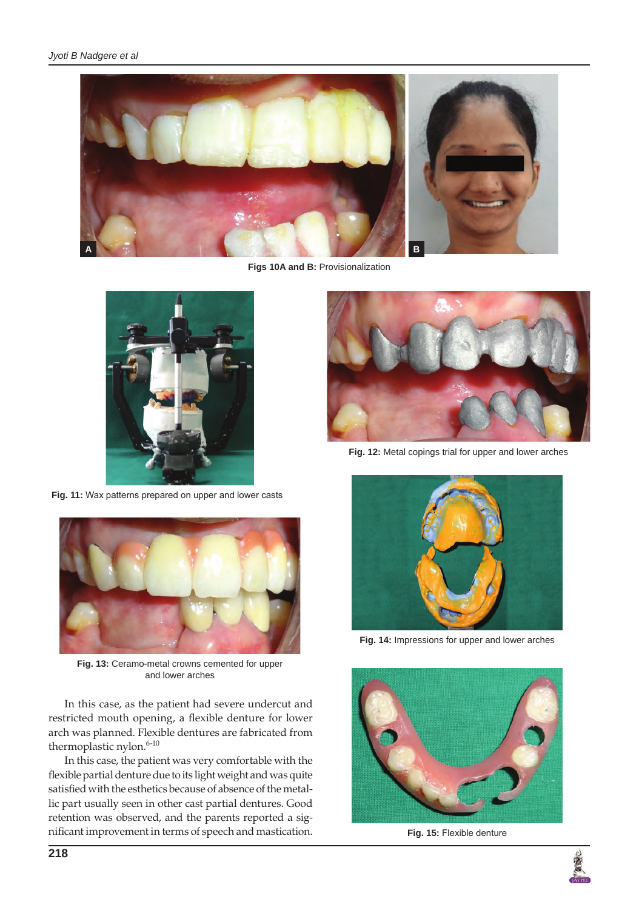

**Figs 10A and B:** Provisionalization



**Fig. 11:** Wax patterns prepared on upper and lower casts



**Fig. 13:** Ceramo-metal crowns cemented for upper and lower arches

In this case, as the patient had severe undercut and restricted mouth opening, a flexible denture for lower arch was planned. Flexible dentures are fabricated from thermoplastic nylon.  $6-10$ 

In this case, the patient was very comfortable with the flexible partial denture due to its light weight and was quite satisfied with the esthetics because of absence of the metallic part usually seen in other cast partial dentures. Good retention was observed, and the parents reported a significant improvement in terms of speech and mastication.



**Fig. 12:** Metal copings trial for upper and lower arches



**Fig. 14:** Impressions for upper and lower arches



**Fig. 15:** Flexible denture